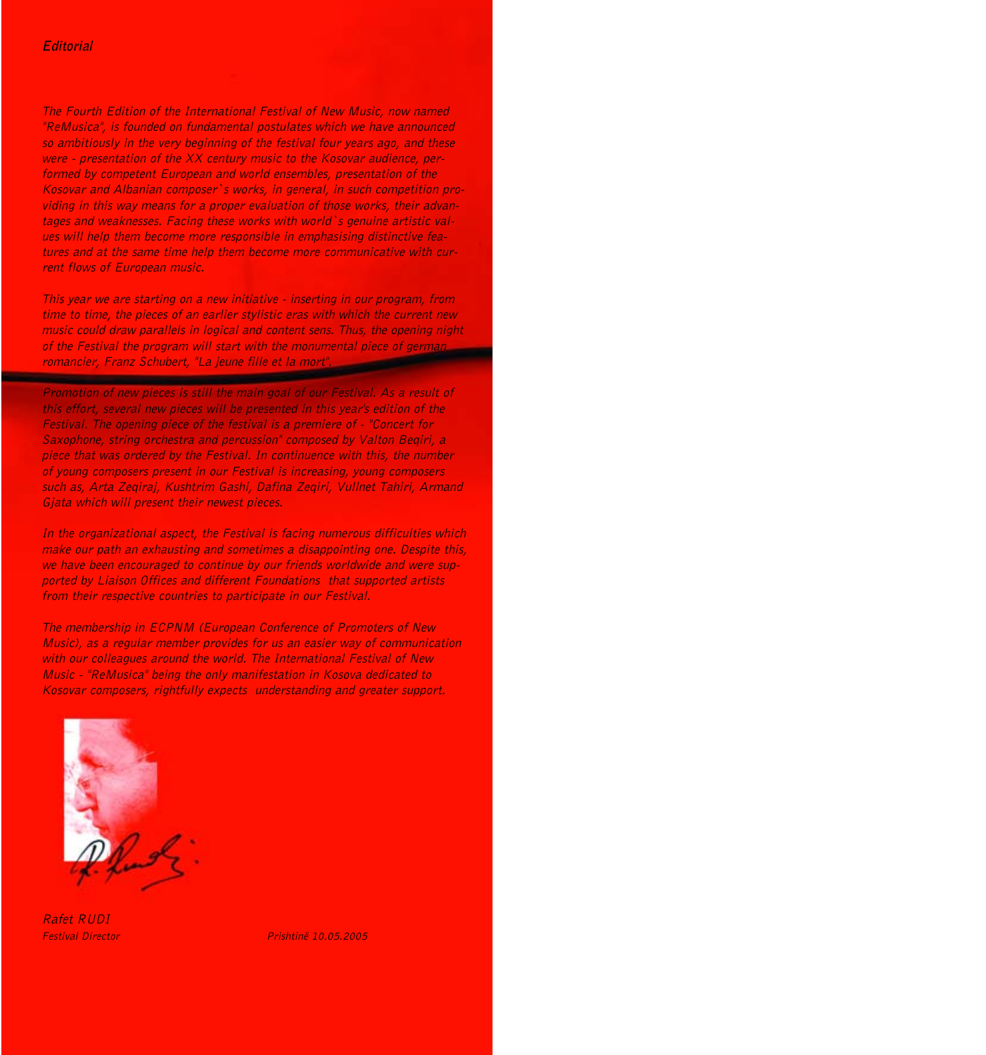The Fourth Edition of the International Festival of New Music, now named "ReMusica", is founded on fundamental postulates which we have announced so ambitiously in the very beginning of the festival four years ago, and these were - presentation of the XX century music to the Kosovar audience, performed by competent European and world ensembles, presentation of the Kosovar and Albanian composer`s works, in general, in such competition providing in this way means for a proper evaluation of those works, their advantages and weaknesses. Facing these works with world`s genuine artistic values will help them become more responsible in emphasising distinctive features and at the same time help them become more communicative with current flows of European music.

This year we are starting on a new initiative - inserting in our program, from time to time, the pieces of an earlier stylistic eras with which the current new music could draw parallels in logical and content sens. Thus, the opening night of the Festival the program will start with the monumental piece of german romancier, Ea jeune fille et la mort".<br>Promotion of new state

Promotion of new pieces is still the main goal of our Festival. As a result of this effort, several new pieces will be presented in this year's edition of the Festival. The opening piece of the festival is a premiere of - "Concert for Saxophone, string orchestra and percussion" composed by Valton Beqiri, a piece that was ordered by the Festival. In continuence with this, the number of young composers present in our Festival is increasing, young composers such as, Arta Zeqiraj, Kushtrim Gashi, Dafina Zeqiri, Vullnet Tahiri, Armand Gjata which will present their newest pieces.

In the organizational aspect, the Festival is facing numerous difficulties which make our path an exhausting and sometimes a disappointing one. Despite this, we have been encouraged to continue by our friends worldwide and were supported by Liaison Offices and different Foundations that supported artists from their respective countries to participate in our Festival.

The membership in ECPNM (European Conference of Promoters of New Music), as a regular member provides for us an easier way of communication with our colleagues around the world. The International Festival of New Music - "ReMusica" being the only manifestation in Kosova dedicated to Kosovar composers, rightfully expects understanding and greater support.



Rafet RUDI

Festival Director **Prishtinë** 10.05.2005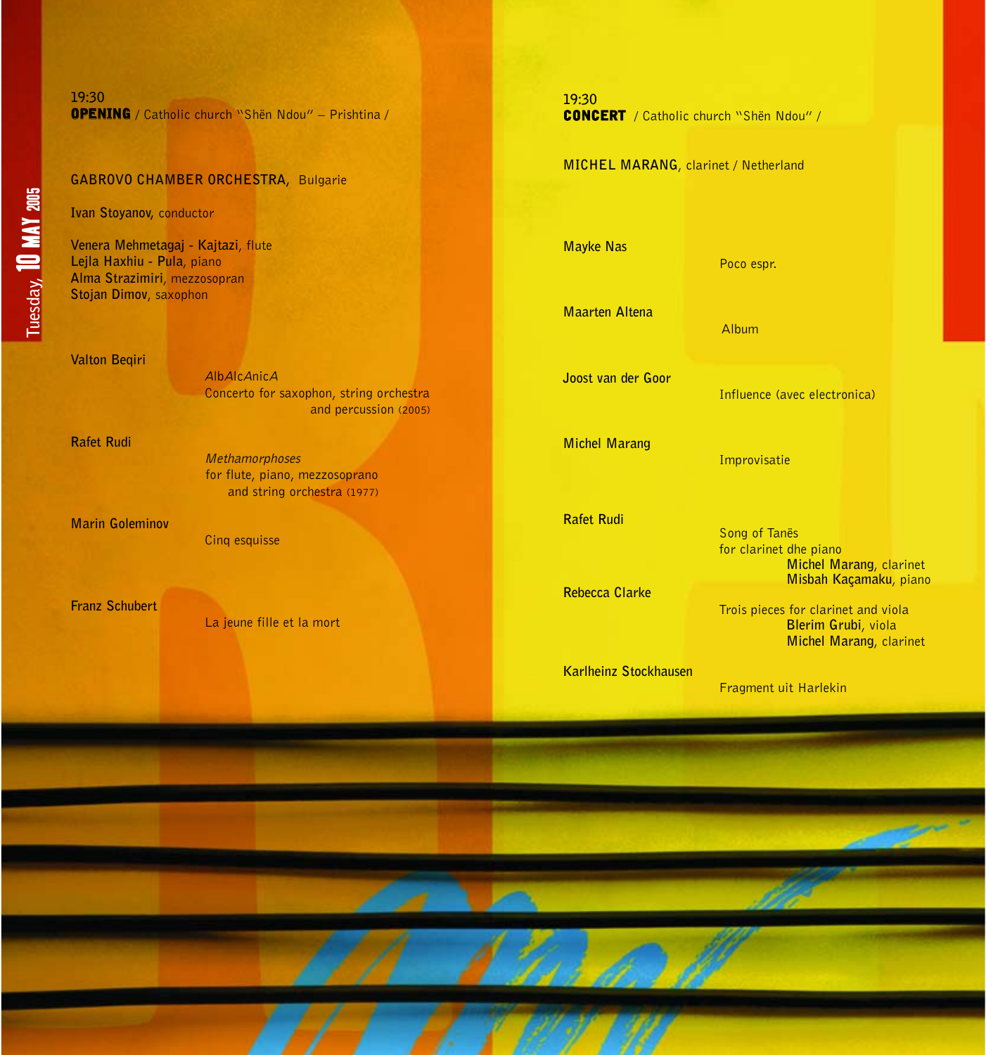#### **GABROVO CHAMBER ORCHESTRA,** Bulgarie

**Ivan Stoyanov,** conductor

**Venera Mehmetagaj - Kajtazi**, flute **Lejla Haxhiu - Pula**, piano **Alma Strazimiri**, mezzosopran **Stojan Dimov**, saxophon

**Valton Beqiri**

<sup>A</sup>lbAlcAnic<sup>A</sup> Concerto for saxophon, string orchestra and percussion (2005)

**Rafet Rudi**

Methamorphoses for flute, piano, mezzosoprano and string orchestra (1977)

**Marin Goleminov** 

Cinq esquisse

**Franz Schubert**

La jeune fille et la mort

#### **19:30**

CONCERT / Catholic church "Shën Ndou" /

#### **MICHEL MARANG**, clarinet / Netherland

**Mayke Nas** 

**Maarten Altena** 

**Joost van der Goor** 

**Michel Marang**

**Rafet Rudi**

**Rebecca Clarke**

**Karlheinz Stockhausen**

Influence (avec electronica)

Improvisatie

Poco espr.

Album

Song of Tanës for clarinet dhe piano **Michel Marang**, clarinet **Misbah Kaçamaku**, piano

Trois pieces for clarinet and viola **Blerim Grubi**, viola **Michel Marang**, clarinet

Fragment uit Harlekin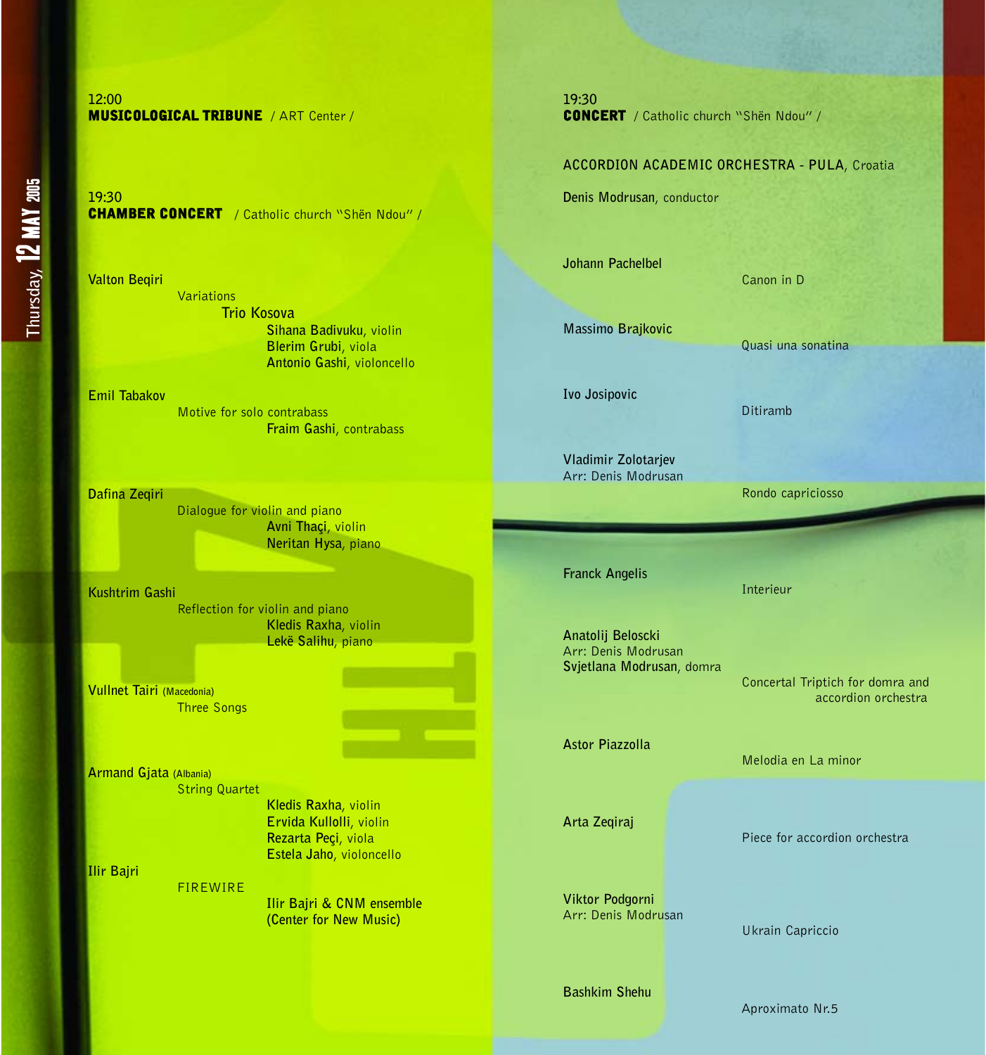# Thursday, **12 MAY** 2005 **Thursday,** 12 MAY 2005

#### **12:00**  MUSICOLOGICAL TRIBUNE / ART Center /

**19:30**  CHAMBER CONCERT / Catholic church "Shën Ndou" /

**Valton Beqiri** Variations **Trio Kosova Sihana Badivuku**, violin **Blerim Grubi**, viola **Antonio Gashi**, violoncello

**Emil Tabakov** Motive for solo contrabass **Fraim Gashi**, contrabass

**Dafina Zeqiri**

Dialogue for violin and piano **Avni Thaçi**, violin

**Kushtrim Gashi** Reflection for violin and piano **Kledis Raxha**, violin **Lekë Salihu**, piano

**Vullnet Tairi (Macedonia)** Three Songs

**Armand Gjata (Albania)** String Quartet

FIREWIRE

**Kledis Raxha**, violin **Ervida Kullolli**, violin **Rezarta Peçi**, viola **Estela Jaho**, violoncello

**Ilir Bajri & CNM ensemble (Center for New Music)**

**Ilir Bajri** 

**19:30**  CONCERT / Catholic church "Shën Ndou" /

#### **ACCORDION ACADEMIC ORCHESTRA - PULA**, Croatia

**Denis Modrusan**, conductor

**Johann Pachelbel** 

Canon in D

Ditiramb

Interieur

Quasi una sonatina

Rondo capriciosso

**Massimo Brajkovic** 

**Ivo Josipovic**

**Vladimir Zolotarjev** Arr: Denis Modrusan

**Franck Angelis**

Arr: Denis Modrusan **Svjetlana Modrusan**, domra

Concertal Triptich for domra and accordion orchestra

**Astor Piazzolla**

**Arta Zeqiraj**

**Viktor Podgorni** Arr: Denis Modrusan

**Bashkim Shehu**

Piece for accordion orchestra

Melodia en La minor

Ukrain Capriccio

Aproximato Nr.5

**Neritan Hysa**, piano

**Anatolij Beloscki**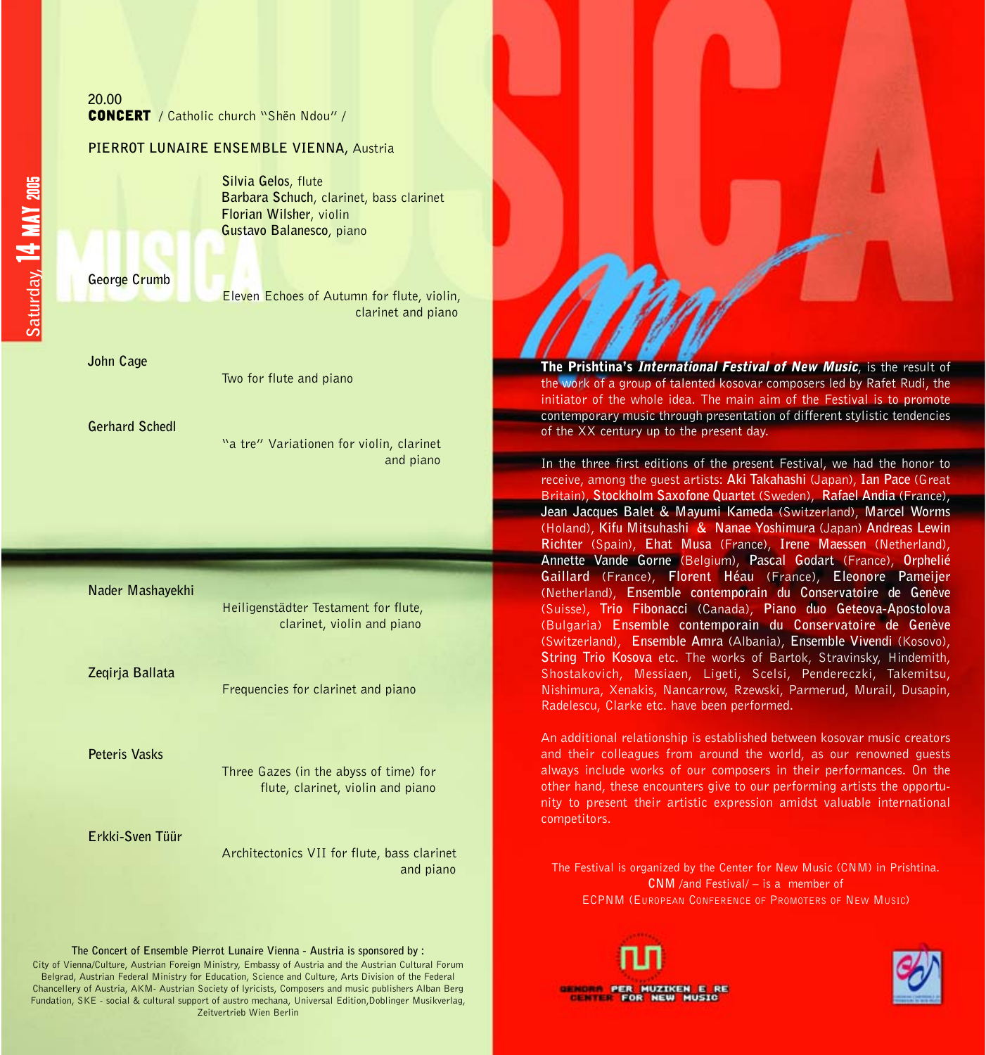| 20.00                                          |  |  |  |
|------------------------------------------------|--|--|--|
| <b>CONCERT</b> / Catholic church "Shën Ndou" / |  |  |  |

#### **PIERROT LUNAIRE ENSEMBLE VIENNA,** Austria

**Silvia Gelos**, flute **Barbara Schuch**, clarinet, bass clarinet **Florian Wilsher**, violin **Gustavo Balanesco**, piano

**George Crumb**

Eleven Echoes of Autumn for flute, violin, clarinet and piano

**John Cage**

Two for flute and piano

**Gerhard Schedl**

"a tre" Variationen for violin, clarinet and piano

#### **Nader Mashayekhi**

Heiligenstädter Testament for flute, clarinet, violin and piano

**Zeqirja Ballata**

Frequencies for clarinet and piano

**Peteris Vasks**

Three Gazes (in the abyss of time) for flute, clarinet, violin and piano

#### **Erkki-Sven Tüür**

Architectonics VII for flute, bass clarinet and piano

**The Concert of Ensemble Pierrot Lunaire Vienna - Austria is sponsored by :**

City of Vienna/Culture, Austrian Foreign Ministry, Embassy of Austria and the Austrian Cultural Forum Belgrad, Austrian Federal Ministry for Education, Science and Culture, Arts Division of the Federal Chancellery of Austria, AKM- Austrian Society of lyricists, Composers and music publishers Alban Berg Fundation, SKE - social & cultural support of austro mechana, Universal Edition,Doblinger Musikverlag, Zeitvertrieb Wien Berlin

The Prishtina's International Festival of New Music, is the result of the work of a group of talented kosovar composers led by Rafet Rudi, the initiator of the whole idea. The main aim of the Festival is to promote **Example 20** contemporary music through presentation of different stylistic tendencies of the XX century up to the present day.

In the three first editions of the present Festival, we had the honor to receive, among the guest artists: **Aki Takahashi** (Japan), **Ian Pace** (Great Britain), **Stockholm Saxofone Quartet** (Sweden), **Rafael Andia** (France), **Jean Jacques Balet & Mayumi Kameda** (Switzerland), **Marcel Worms** (Holand), **Kifu Mitsuhashi & Nanae Yoshimura** (Japan) **Andreas Lewin Richter** (Spain), **Ehat Musa** (France), **Irene Maessen** (Netherland), **Annette Vande Gorne** (Belgium), **Pascal Godart** (France), **Orphelié Gaillard** (France), **Florent Héau** (France), **Eleonore Pameijer** (Netherland), **Ensemble contemporain du Conservatoire de Genève** (Suisse), **Trio Fibonacci** (Canada), **Piano duo Geteova-Apostolova** (Bulgaria) **Ensemble contemporain du Conservatoire de Genève** (Switzerland), **Ensemble Amra** (Albania), **Ensemble Vivendi** (Kosovo), **String Trio Kosova** etc. The works of Bartok, Stravinsky, Hindemith, Shostakovich, Messiaen, Ligeti, Scelsi, Pendereczki, Takemitsu, Nishimura, Xenakis, Nancarrow, Rzewski, Parmerud, Murail, Dusapin, Radelescu, Clarke etc. have been performed.

An additional relationship is established between kosovar music creators and their colleagues from around the world, as our renowned guests always include works of our composers in their performances. On the other hand, these encounters give to our performing artists the opportunity to present their artistic expression amidst valuable international competitors.

The Festival is organized by the Center for New Music (CNM) in Prishtina. **CNM** /and Festival/ – is a member of ECPNM (EUROPEAN CONFERENCE OF PROMOTERS OF NEW MUSIC)

**ENTER PER MUZIKEN E** 

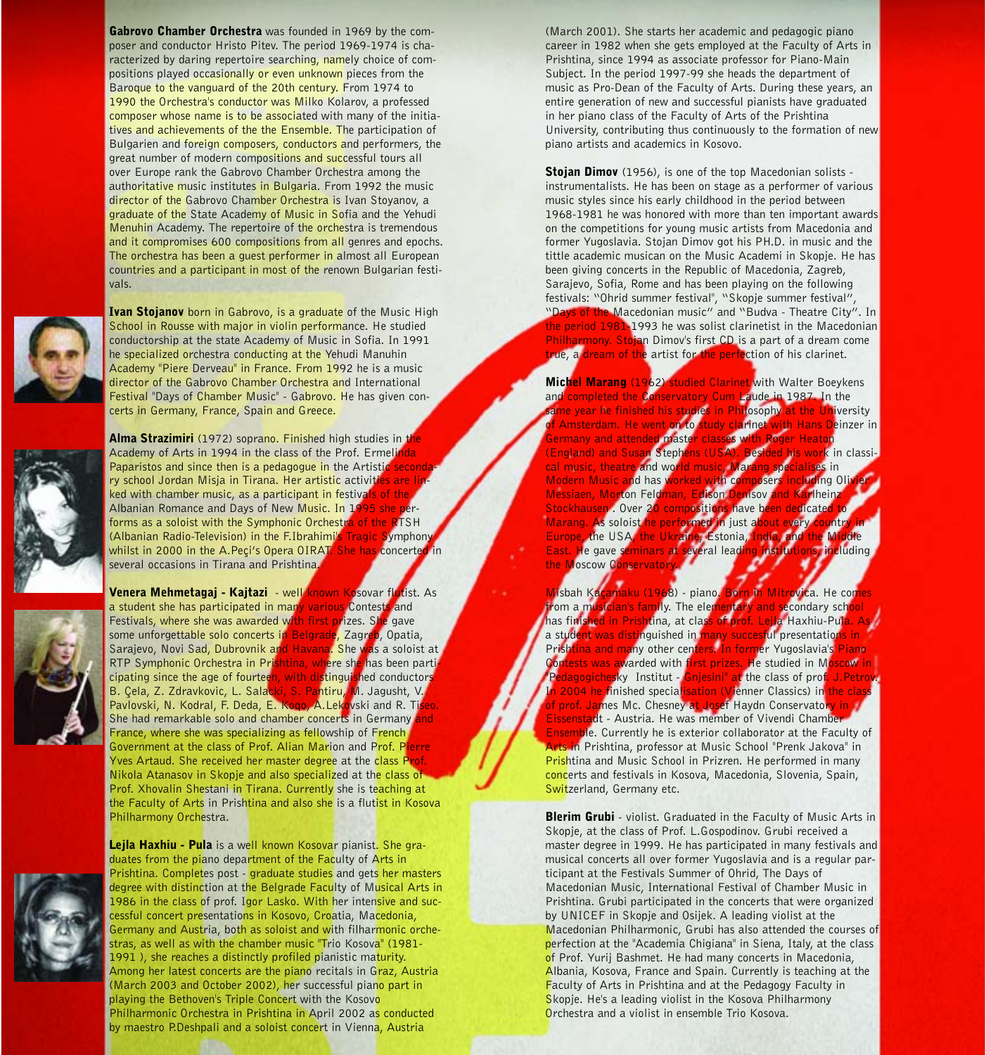Gabrovo Chamber Orchestra was founded in 1969 by the composer and conductor Hristo Pitev. The period 1969-1974 is characterized by daring repertoire searching, namely choice of compositions played occasionally or even unknown pieces from the Baroque to the vanguard of the 20th century. From 1974 to 1990 the Orchestra's conductor was Milko Kolarov, a professed composer whose name is to be associated with many of the initiatives and achievements of the the Ensemble. The participation of Bulgarien and foreign composers, conductors and performers, the great number of modern compositions and successful tours all over Europe rank the Gabrovo Chamber Orchestra among the authoritative music institutes in Bulgaria. From 1992 the music director of the Gabrovo Chamber Orchestra is Ivan Stoyanov, a graduate of the State Academy of Music in Sofia and the Yehudi Menuhin Academy. The repertoire of the orchestra is tremendous and it compromises 600 compositions from all genres and epochs. The orchestra has been a guest performer in almost all European countries and a participant in most of the renown Bulgarian festivals.



Ivan Stojanov born in Gabrovo, is a graduate of the Music High School in Rousse with major in violin performance. He studied conductorship at the state Academy of Music in Sofia. In 1991 he specialized orchestra conducting at the Yehudi Manuhin Academy "Piere Derveau" in France. From 1992 he is a music director of the Gabrovo Chamber Orchestra and International Festival "Days of Chamber Music" - Gabrovo. He has given concerts in Germany, France, Spain and Greece.





Alma Strazimiri (1972) soprano. Finished high studies in the Academy of Arts in 1994 in the class of the Prof. Ermeliada Academy of Arts in 1994 in the class of the Prof. Frmeling Paparistos and since then is a pedagogue in the Artistic second ry school Jordan Misja in Tirana. Her artistic activities are I ked with chamber music, as a participant in festivals of the Albanian Romance and Days of New Music. In 1995 she performs as a soloist with the Symphonic Orchestra of the RTSH (Albanian Radio-Television) in the F.Ibrahimi's Tragic Symphon whilst in 2000 in the A.Peçi's Opera OIRAT. She has concerte several occasions in Tirana and Prishtina.

Venera Mehmetagaj - Kajtazi - well known Kosovar flutist. As<br>a student she has participated in many various Contests and a student she has participated in many various Contests Festivals, where she was awarded with first prizes. She gave some unforgettable solo concerts in Belgrade, Zagreb, Opatia, Sarajevo, Novi Sad, Dubrovnik and Havana. She was a soloist at RTP Symphonic Orchestra in Prishtina, where she has been participating since the age of fourteen, with distinguished conductors<br>B. Cela. Z. Zdravkovic, L. Salacki, S. Pantiru, M. Jaqusht, V. B. Çela, Z. Zdravkovic, L. Salac Pavlovski, N. Kodral, F. Deda, E. Koqo, A.Lekovski and R. Tiseo. She had remarkable solo and chamber concerts in Germany and France, where she was specializing as fellowship of French Government at the class of Prof. Alian Marion and Prof. Pierre Yves Artaud. She received her master degree at the class Pr Nikola Atanasov in Skopje and also specialized at the class of Prof. Xhovalin Shestani in Tirana. Currently she is teaching at the Faculty of Arts in Prishtina and also she is a flutist in Kosova Philharmony Orchestra.



Leila Haxhiu - Pula is a well known Kosovar pianist. She graduates from the piano department of the Faculty of Arts in Prishtina. Completes post - graduate studies and gets her masters degree with distinction at the Belgrade Faculty of Musical Arts in 1986 in the class of prof. Igor Lasko. With her intensive and successful concert presentations in Kosovo, Croatia, Macedonia, Germany and Austria, both as soloist and with filharmonic orchestras, as well as with the chamber music "Trio Kosova" (1981- 1991 ), she reaches a distinctly profiled pianistic maturity. Among her latest concerts are the piano recitals in Graz. Austria (March 2003 and October 2002), her successful piano part in playing the Bethoven's Triple Concert with the Kosovo Philharmonic Orchestra in Prishtina in April 2002 as conducted by maestro P.Deshpali and a soloist concert in Vienna, Austria

(March 2001). She starts her academic and pedagogic piano career in 1982 when she gets employed at the Faculty of Arts in Prishtina, since 1994 as associate professor for Piano-Main Subject. In the period 1997-99 she heads the department of music as Pro-Dean of the Faculty of Arts. During these years, an entire generation of new and successful pianists have graduated in her piano class of the Faculty of Arts of the Prishtina University, contributing thus continuously to the formation of new piano artists and academics in Kosovo.

Stojan Dimov (1956), is one of the top Macedonian solists instrumentalists. He has been on stage as a performer of various music styles since his early childhood in the period between 1968-1981 he was honored with more than ten important awards on the competitions for young music artists from Macedonia and former Yugoslavia. Stojan Dimov got his PH.D. in music and the tittle academic musican on the Music Academi in Skopje. He has been giving concerts in the Republic of Macedonia, Zagreb, Sarajevo, Sofia, Rome and has been playing on the following festivals: "Ohrid summer festival", "Skopje summer festival", "Days of the Macedonian music" and "Budva - Theatre City". In the period 1981-1993 he was solist clarinetist in the Macedonian Philharmony. Stojan Dimov's first CD is a part of a dream come true, a dream of the artist for the perfection of his clarinet.

Michel Marang (1962) studied Clarinet with Walter Boeykens and completed the Conservatory Cum Laude in 1987. In the same year he finished his studies in Philosophy at the University<br>of Amsterdam. He went on to study clarinet with Hans Deinzer in **Germany and attended master classes with Roger Heaton**<br>England) and Susan Stephens (USA), Resided bis work in class (England) and Susan Stephens (US cal music, theatre and world music, Marang specialises in<br>Modern Music and has worked with composers including Oli Modern Music and has worked with composers Messiaen, Morton Feldman, Edison Denisov and Karlhein Stockhausen . Over 20 compositions have been dedicate Marang. As soloist he performed in just a<br>Europe, the USA, the Ukraine, Estonia, in Europe, the USA, the Ukrain East. He gave seminars at several leading the Moscow Conservator

<mark>Vi</mark>lsbah Ka<mark>çamaku (1968</mark>) - piano. Born in Mitrovica. He cor<br>rom a musician's family. The elementary and secondary sch<mark>o</mark> from a musician's family. The elem<mark>entary and sec</mark>ondary sch<mark>o</mark><br>has finished in Prishtina, at class of orof, Leila Haxhiu-Pula. h<mark>ed in Prisht</mark>ina, at clas<mark>s of prof. Le</mark>i a stud<mark>ent was distin</mark>guished in <mark>many succesful</mark> presentations in<br>Prishtina and many other centers. In former Yugoslavia's Piar Prishtina and many other centers. In former Yugoslavia's Piano<br>Contests was awarded with first prizes. He studied in Moscon i **Contests was awarded with first prizes. He studied in Moscow in** Pedagogichesky Institut - Gniesini" at the class of prof. J.Petro 2004 he finished specialisation (Vienner Classics) in the clas of prof. Ja<mark>m</mark>es Mc. Chesney at Josef Haydn Conservator<mark>y in</mark> Eissenstadt - Austria. He was member of Vivendi Chamber Ensemble. Currently he is exterior collaborator at the Faculty of **rts in** Prishtina, professor at Music School "Prenk Jakova" in Prishtina and Music School in Prizren. He performed in many concerts and festivals in Kosova, Macedonia, Slovenia, Spain, Switzerland, Germany etc.

Blerim Grubi - violist. Graduated in the Faculty of Music Arts in Skopje, at the class of Prof. L.Gospodinov. Grubi received a master degree in 1999. He has participated in many festivals and musical concerts all over former Yugoslavia and is a regular participant at the Festivals Summer of Ohrid, The Days of Macedonian Music, International Festival of Chamber Music in Prishtina. Grubi participated in the concerts that were organized by UNICEF in Skopje and Osijek. A leading violist at the Macedonian Philharmonic, Grubi has also attended the courses of perfection at the "Academia Chigiana" in Siena, Italy, at the class of Prof. Yurij Bashmet. He had many concerts in Macedonia, Albania, Kosova, France and Spain. Currently is teaching at the Faculty of Arts in Prishtina and at the Pedagogy Faculty in Skopje. He's a leading violist in the Kosova Philharmony Orchestra and a violist in ensemble Trio Kosova.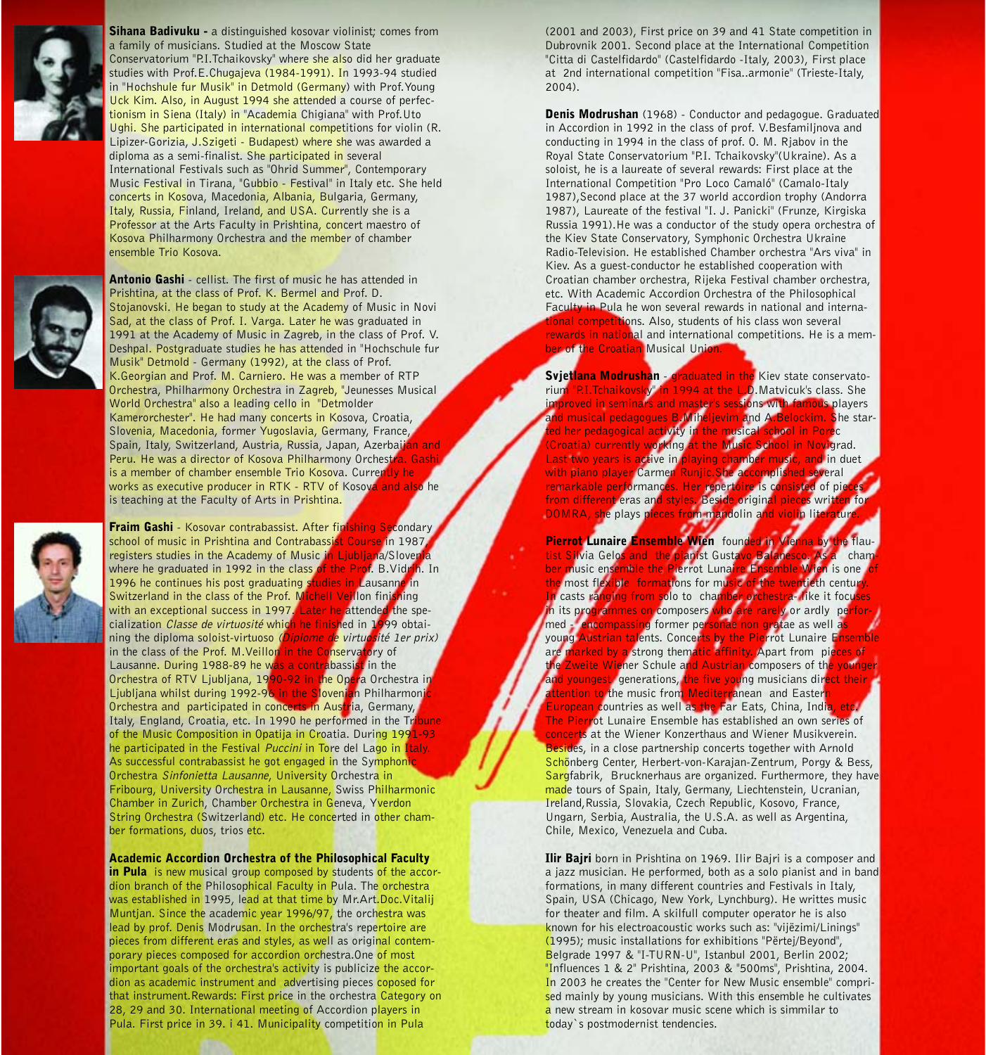

Sihana Badivuku - a distinguished kosovar violinist; comes from a family of musicians. Studied at the Moscow State Conservatorium "P.I.Tchaikovsky" where she also did her graduate studies with Prof.E.Chugajeva (1984-1991). In 1993-94 studied in "Hochshule fur Musik" in Detmold (Germany) with Prof. Young Uck Kim. Also, in August 1994 she attended a course of perfectionism in Siena (Italy) in "Academia Chigiana" with Prof.Uto Ughi. She participated in international competitions for violin (R. Lipizer-Gorizia, J.Szigeti - Budapest) where she was awarded a diploma as a semi-finalist. She participated in several International Festivals such as "Ohrid Summer", Contemporary Music Festival in Tirana, "Gubbio - Festival" in Italy etc. She held concerts in Kosova, Macedonia, Albania, Bulgaria, Germany, Italy, Russia, Finland, Ireland, and USA. Currently she is a Professor at the Arts Faculty in Prishtina, concert maestro of Kosova Philharmony Orchestra and the member of chamber ensemble Trio Kosova.



Antonio Gashi - cellist. The first of music he has attended in Prishtina, at the class of Prof. K. Bermel and Prof. D. Stojanovski. He began to study at the Academy of Music in Novi Sad, at the class of Prof. I. Varga. Later he was graduated in 1991 at the Academy of Music in Zagreb, in the class of Prof. V. Deshpal. Postgraduate studies he has attended in "Hochschule fur Musik" Detmold - Germany (1992), at the class of Prof. K.Georgian and Prof. M. Carniero. He was a member of RTP Orchestra, Philharmony Orchestra in Zagreb, "Jeunesses Musical World Orchestra" also a leading cello in "Detmolder Kamerorchester". He had many concerts in Kosova, Croatia, Slovenia, Macedonia, former Yugoslavia, Germany, France, Spain, Italy, Switzerland, Austria, Russia, Japan, Azerbaij Peru. He was a director of Kosova Philharmony Orchestra. Gash is a member of chamber ensemble Trio Kosova. Currently he works as executive producer in RTK - RTV of Kosova and also he is teaching at the Faculty of Arts in Prishtina.

**Fraim Gashi** - Kosovar contrabassist. After finishing Secondary<br>school of music in Prishtina and Contrabassist Course in 1987. school of music in Prishtina and Contrabassist Course in 1987, registers studies in the Academy of Music in Liubliana/Slover registers studies in the Academy of Music in Ljublja where he graduated in 1992 in the class of the Prof. B. Vidrih. In 1996 he continues his post graduating studies in Lausanne in<br>Switzerland in the class of the Prof. Michell Veillon finishing Switzerland in the class of the Prof. Michell Veillon finit with an exceptional success in 1997. Later he attended the spe-<br>cialization *Classe de virtuosité* which he finished in 1999 obtaicialization Classe de virtuosité which he finished in 1 ning the diploma soloist-virtuoso (Diplome de virtuosité 1er prix) in the class of the Prof. M. Veillon in the Conservatory of in the class of the Prof. M. Veillon in the Conserva Lausanne. During 1988-89 he was a contrabassist in the Orchestra of RTV Liubliana, 1990-92 in the Opera Orchestra in Ljubljana whilst during 1992-96 in the Slovenian Philharmoni Orchestra and participated in concerts in Austria, Germany, Italy, England, Croatia, etc. In 1990 he performed in the Tri of the Music Composition in Opatija in Croatia. During 1991-93 he participated in the Festival Puccini in Tore del Lago in Italy. As successful contrabassist he got engaged in the Symphoni Orchestra Sinfonietta Lausanne, University Orchestra in Fribourg, University Orchestra in Lausanne, Swiss Philharmonic Chamber in Zurich, Chamber Orchestra in Geneva, Yverdon String Orchestra (Switzerland) etc. He concerted in other chamber formations, duos, trios etc.

Academic Accordion Orchestra of the Philosophical Faculty

in Pula is new musical group composed by students of the accordion branch of the Philosophical Faculty in Pula. The orchestra was established in 1995, lead at that time by Mr.Art.Doc.Vitalij Muntjan. Since the academic year 1996/97, the orchestra was lead by prof. Denis Modrusan. In the orchestra's repertoire are pieces from different eras and styles, as well as original contemporary pieces composed for accordion orchestra. One of most important goals of the orchestra's activity is publicize the accordion as academic instrument and advertising pieces coposed for that instrument.Rewards: First price in the orchestra Category on 28, 29 and 30. International meeting of Accordion players in Pula. First price in 39. i 41. Municipality competition in Pula

(2001 and 2003), First price on 39 and 41 State competition in Dubrovnik 2001. Second place at the International Competition "Citta di Castelfidardo" (Castelfidardo -Italy, 2003), First place at 2nd international competition "Fisa..armonie" (Trieste-Italy, 2004).

Denis Modrushan (1968) - Conductor and pedagogue. Graduated in Accordion in 1992 in the class of prof. V.Besfamiljnova and conducting in 1994 in the class of prof. O. M. Rjabov in the Royal State Conservatorium "P.I. Tchaikovsky"(Ukraine). As a soloist, he is a laureate of several rewards: First place at the International Competition "Pro Loco Camaló" (Camalo-Italy 1987),Second place at the 37 world accordion trophy (Andorra 1987), Laureate of the festival "I. J. Panicki" (Frunze, Kirgiska Russia 1991).He was a conductor of the study opera orchestra of the Kiev State Conservatory, Symphonic Orchestra Ukraine Radio-Television. He established Chamber orchestra "Ars viva" in Kiev. As a guest-conductor he established cooperation with Croatian chamber orchestra, Rijeka Festival chamber orchestra, etc. With Academic Accordion Orchestra of the Philosophical Faculty in Pula he won several rewards in national and internaonal competitions. Also, students of his class won several rewards in national and international competitions. He is a member of the Croatian Musical Unio

Svjetlana Modrushan - graduated in the Kiev state conservato-<br>rium "P.I.Tchaikovsky" in 1994 at the L.D.Matvicuk's class. She rium "P.I.Tchaikovsky" in 1994 at the L.D.Matvicuk's class. She<br>Improved in seminars and master's sessions with famous players roved in seminars and master's <mark>sessions with fa</mark><br>musical pedagogues B.Miheljevim and A.Belor d musical pedagogues B.Mih<mark>eljevim a</mark>nd A.<mark>Belo</mark>ckim. She stared her pedagogical activity in the musical school in Porec<br>Croatia) currently working at the Music School in Novigrad. Croatia) cur<mark>rently working at the Music School in Novi</mark>grad.<br>Last two vears is active in playing chamber music, and in duet Last two years is active in playing chamber music, and in due<br>with bland player Carmen Ruplic She accomplished several with piano player Carmen Runjic.She accomplished several<br>remarkable performances. Her repertoire is consisted of pi remarkable performance from different eras and styles. Beside original pieces written for the formulation for the formulation for the model of the formulation  $\frac{1}{2}$ DOMRA, she plays pieces

Pierrot Lunaire Ensemble Wien found tist Silvia Gelos and the pianist Gustavo Balanesco. As a char ber music ensemble the Pierrot Lunaire Ensemble Wien is one<br>the most flexible formations for music of the twentieth centual e most flexible formations for music of the twentieth century.<br>casts ranging from solo to chamber orchestral like it focu In casts ra<mark>nging from so</mark>lo to chambér orchestra- like it foc<br>In its programmes on composers who are rarely or ardly pe grammes on composers med - encompassing former personae non gratae as well as young Austrian talents. Concerts by the Pierrot Lunaire Ensem<br>are marked by a strong thematic affinity. Apart from pieces of arked by a strong thematic and the Wi<mark>e</mark>ner Schule and Austrian composers of th<mark>e you</mark>l Zweite<br>I youngest coenerations, the five young musicians direct the **and youngest generations**, the five young musicians direct their tention to the music from Mediterranean and Easter E<mark>uropean c</mark>ountries as well <mark>as the F</mark>ar Eats, China, Indi The Pierrot Lunaire Ensemble has established an own series of concerts at the Wiener Konzerthaus and Wiener Musikverein. les, in a close partnership concerts together with Arnold Schönberg Center, Herbert-von-Karajan-Zentrum, Porgy & Bess, Sargfabrik, Brucknerhaus are organized. Furthermore, they have made tours of Spain, Italy, Germany, Liechtenstein, Ucranian, Ireland,Russia, Slovakia, Czech Republic, Kosovo, France, Ungarn, Serbia, Australia, the U.S.A. as well as Argentina, Chile, Mexico, Venezuela and Cuba.

Ilir Bajri born in Prishtina on 1969. Ilir Bajri is a composer and a jazz musician. He performed, both as a solo pianist and in band formations, in many different countries and Festivals in Italy, Spain, USA (Chicago, New York, Lynchburg). He writtes music for theater and film. A skilfull computer operator he is also known for his electroacoustic works such as: "vijëzimi/Linings" (1995); music installations for exhibitions "Përtej/Beyond", Belgrade 1997 & "I-TURN-U", Istanbul 2001, Berlin 2002; "Influences 1 & 2" Prishtina, 2003 & "500ms", Prishtina, 2004. In 2003 he creates the "Center for New Music ensemble" comprised mainly by young musicians. With this ensemble he cultivates a new stream in kosovar music scene which is simmilar to today`s postmodernist tendencies.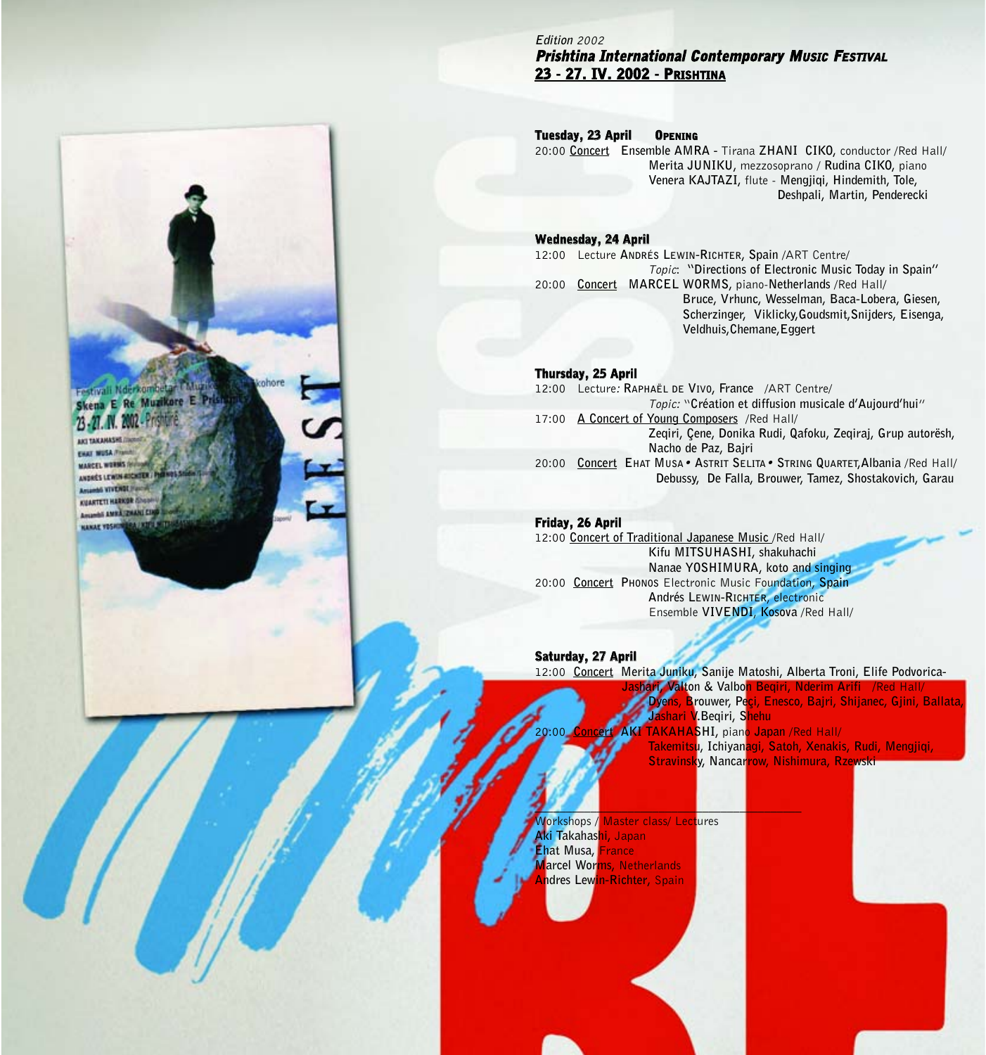#### **Edition** 2002 Prishtina International Contemporary MUSIC FESTIVAL 23 - 27. IV. 2002 -PRISHTINA

#### Tuesday, 23 April OPENING

20:00 **Concert Ensemble AMRA -** Tirana **ZHANI CIKO,** conductor /Red Hall/ **Merita JUNIKU,** mezzosoprano / **Rudina CIKO,** piano **Venera KAJTAZI,** flute - **Mengjiqi, Hindemith, Tole, Deshpali, Martin, Penderecki** 

#### Wednesday, 24 April

12:00 Lecture **ANDRÉS LEWIN-RICHTER, Spain** /ART Centre/ Topic: **"Directions of Electronic Music Today in Spain"** 20:00 **Concert MARCEL WORMS,** piano-**Netherlands** /Red Hall/ **Bruce, Vrhunc, Wesselman, Baca-Lobera, Giesen, Scherzinger, Viklicky,Goudsmit,Snijders, Eisenga, Veldhuis,Chemane,Eggert**

#### Thursday, 25 April

12:00 Lecture: **RAPHAËL DE VIVO, France** /ART Centre/ Topic: "**Création et diffusion musicale d'Aujourd'hui**" 17:00 **A Concert of Young Composers** /Red Hall/ **Zeqiri, Çene, Donika Rudi, Qafoku, Zeqiraj, Grup autorësh, Nacho de Paz, Bajri** 20:00 **Concert EHAT MUSA**• **ASTRIT SELITA**• **STRING QUARTET,Albania** /Red Hall/ **Debussy, De Falla, Brouwer, Tamez, Shostakovich, Garau**

#### Friday, 26 April

12:00 **Concert of Traditional Japanese Music** /Red Hall/ **Kifu MITSUHASHI, shakuhachi Nanae YOSHIMURA, koto and singing** 20:00 **Concert PHONOS** Electronic Music Foundation, **Spain Andrés LEWIN-RICHTER**, electronic Ensemble **VIVENDI**, **Kosova** /Red Hall/

#### Saturday, 27 April

12:00 **Concert Merita Juniku, Sanije Matoshi, Alberta Troni, Elife Podvorica-Jakabet & Valbon Begiri, Nderim Ariki / Dyens, Brouwer, Peçi, Enesco, Bajri, Shijanec, Gjini, Ballata, Jashari V.Beqiri, Shehu** 20:00 **Concert AKI TAKAHASHI,** piano **Japan** /Red Hall/ **Takemitsu, Ichiyanagi, Satoh, Xenakis, Rudi, Mengjiqi, Stravinsky, Nancarrow, Nishimura, Rzewsk** 

Workshops / Master class/ Lectures **Aki Takahashi,** Japan **Ehat Musa,** France **Marcel Worms,** Netherlands **ndres Lewin-Richter, Spain** 

**\_\_\_\_\_\_\_\_\_\_\_\_\_\_\_\_\_\_\_\_\_\_\_\_\_\_\_\_\_\_\_\_\_\_\_\_\_\_\_\_\_\_\_**

## a E Re Muzikore E

ANDRÉS LEWIN RICHTE AS VIVENS **CLARTETI HARKSH Automatic EMRS HANAF YES**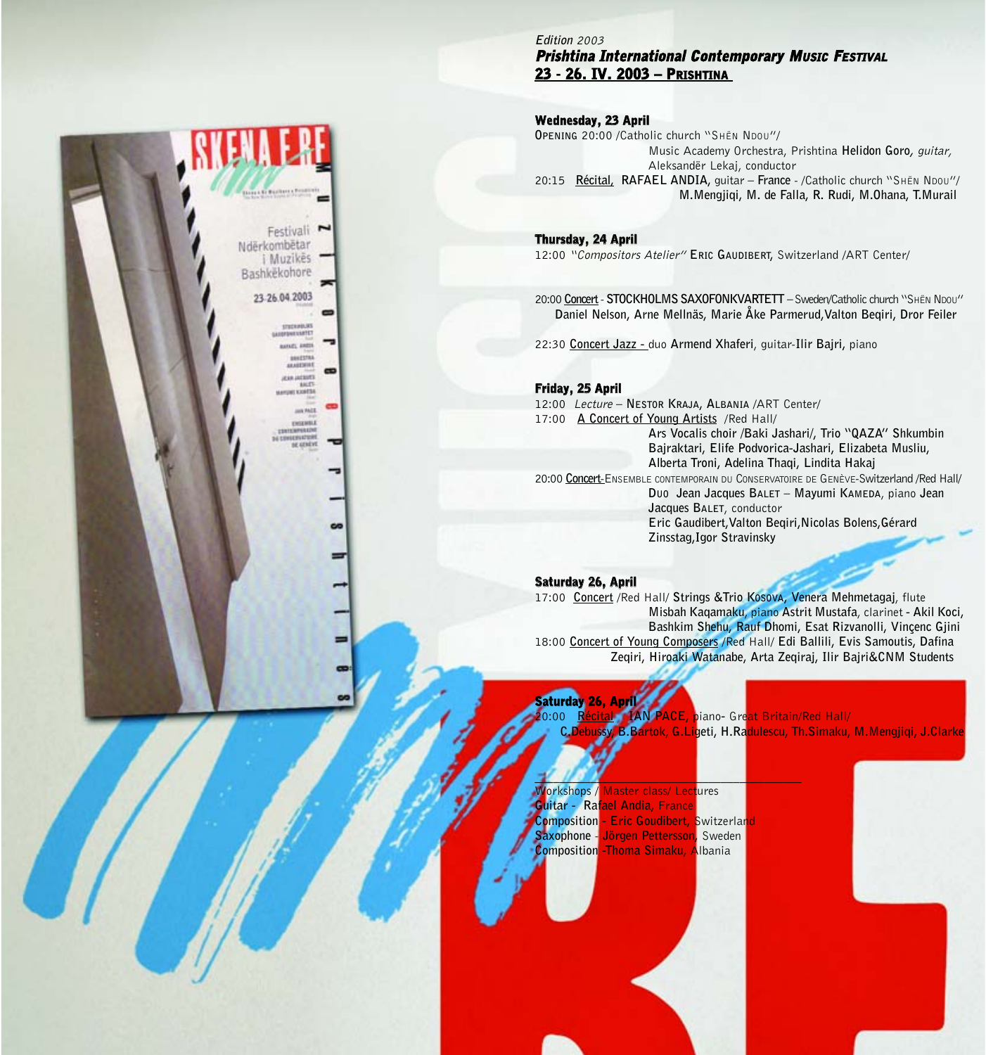**Edition** 2003 Prishtina International Contemporary MUSIC FESTIVAL 23 - 26. IV. 2003 – PRISHTINA

#### Wednesday, 23 April

**OPENING** 20:00 /Catholic church "SHËN NDOU"/ Music Academy Orchestra, Prishtina **Helidon Goro,** guitar, Aleksandër Lekaj, conductor 20:15 **Récital, RAFAEL ANDIA,** guitar **– France** - /Catholic church "SHËN NDOU"/ **M.Mengjiqi, M. de Falla, R. Rudi, M.Ohana, T.Murail**

Thursday, 24 April 12:00 "Compositors Atelier" **ERIC GAUDIBERT,** Switzerland /ART Center/

20:00 **Concert**- **STOCKHOLMS SAXOFONKVARTETT –** Sweden/Catholic church "SHËN NDOU" **Daniel Nelson, Arne Mellnäs, Marie Åke Parmerud,Valton Beqiri, Dror Feiler**

22:30 **Concert Jazz -** duo **Armend Xhaferi**, guitar-**Ilir Bajri,** piano

#### Friday, 25 April

12:00 Lecture **– NESTOR KRAJA, ALBANIA** /ART Center/ 17:00 **A Concert of Young Artists** /Red Hall/ **Ars Vocalis choir /Baki Jashari/, Trio "QAZA" Shkumbin Bajraktari, Elife Podvorica-Jashari, Elizabeta Musliu, Alberta Troni, Adelina Thaqi, Lindita Hakaj** 20:00 **Concert**-ENSEMBLE CONTEMPORAIN DU CONSERVATOIRE DE GENÈVE-Switzerland /Red Hall/ **DUO Jean Jacques BALET – Mayumi KAMEDA**, piano **Jean Jacques BALET**, conductor **Eric Gaudibert,Valton Beqiri,Nicolas Bolens,Gérard Zinsstag,Igor Stravinsky**

#### Saturday 26, April

17:00 **Concert** /Red Hall/ **Strings &Trio KOSOVA, Venera Mehmetagaj**, flute **Misbah Kaqamaku**, piano **Astrit Mustafa**, clarinet **- Akil Koci, Bashkim Shehu, Rauf Dhomi, Esat Rizvanolli, Vinçenc Gjini** 18:00 **Concert of Young Composers** /Red Hall/ **Edi Ballili, Evis Samoutis, Dafina Zeqiri, Hiroaki Watanabe, Arta Zeqiraj, Ilir Bajri&CNM Students**

Saturday 26, April 20:00 **Récital IAN PACE,** piano**-** Great Britain/Red Hall/ **C.Debussy, B.Bartok**, **G.Ligeti, H.Radulescu, Th.Simaku, M.Mengjiqi, J.Clarke**

**Jorkshops / Master class/ Lectures Guitar - Rafael Andia,** France **Composition - Eric Goudibert, Switzerlan Saxophone** - **Jörgen Pettersson,** Sweden **Composition -Thoma Simaku,** Albania

**\_\_\_\_\_\_\_\_\_\_\_\_\_\_\_\_\_\_\_\_\_\_\_\_\_\_\_\_\_\_\_\_\_\_\_\_\_\_\_\_\_\_\_**

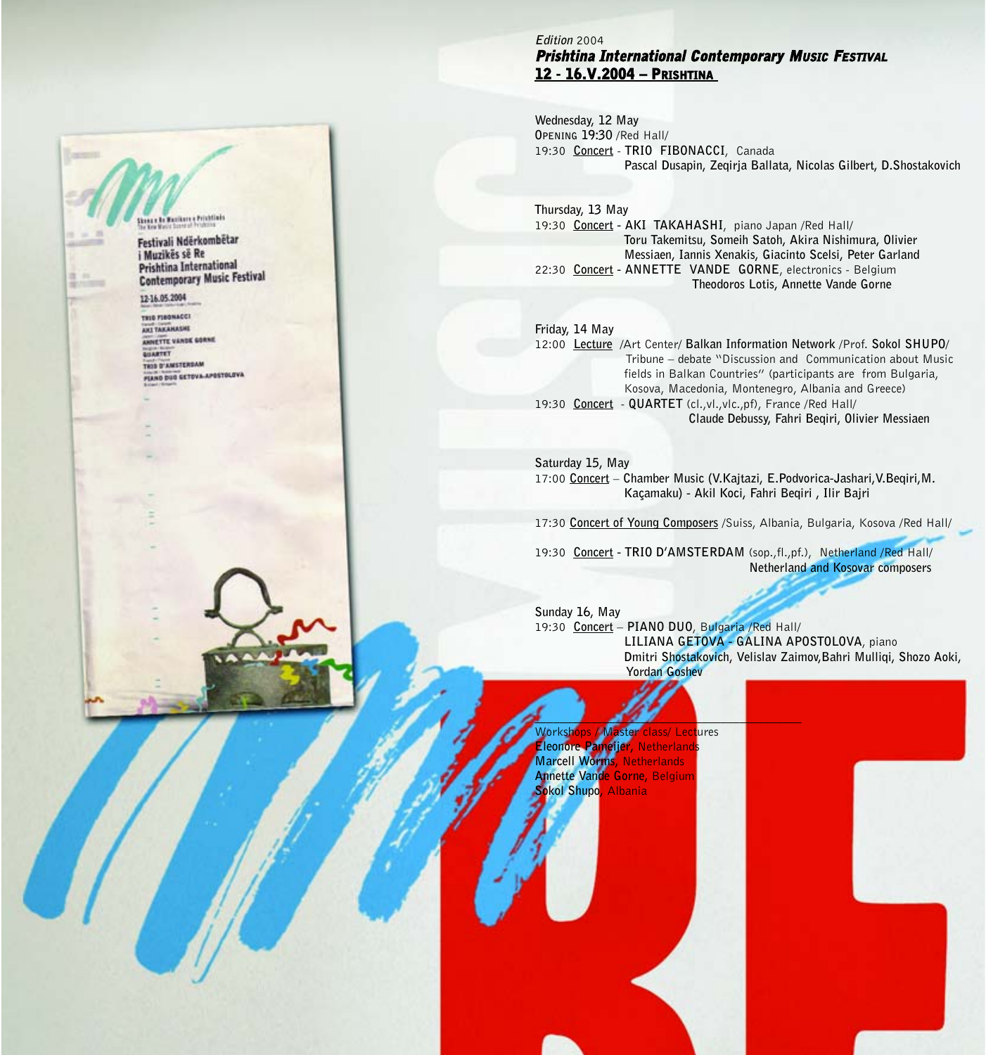#### **Edition** 2004 Prishtina International Contemporary MUSIC FESTIVAL 12 - 16.V.2004 – PRISHTINA

**Wednesday, 12 May OPENING 19:30** /Red Hall/ 19:30 **Concert** - **TRIO FIBONACCI**, Canada **Pascal Dusapin, Zeqirja Ballata, Nicolas Gilbert, D.Shostakovich**

**Thursday, 13 May**  19:30 **Concert - AKI TAKAHASHI**, piano Japan /Red Hall/ **Toru Takemitsu, Someih Satoh, Akira Nishimura, Olivier Messiaen, Iannis Xenakis, Giacinto Scelsi, Peter Garland**  22:30 **Concert - ANNETTE VANDE GORNE**, electronics - Belgium **Theodoros Lotis, Annette Vande Gorne**

#### **Friday, 14 May**

12:00 **Lecture** /Art Center/ **Balkan Information Network** /Prof. **Sokol SHUPO**/ Tribune – debate "Discussion and Communication about Music fields in Balkan Countries" (participants are from Bulgaria, Kosova, Macedonia, Montenegro, Albania and Greece) 19:30 **Concert** - **QUARTET** (cl.,vl.,vlc.,pf), France /Red Hall/ **Claude Debussy, Fahri Beqiri, Olivier Messiaen**

#### **Saturday 15, May**

17:00 **Concert** – **Chamber Music (V.Kajtazi, E.Podvorica-Jashari,V.Beqiri,M. Kaçamaku) - Akil Koci, Fahri Beqiri , Ilir Bajri**

17:30 **Concert of Young Composers** /Suiss, Albania, Bulgaria, Kosova /Red Hall/

19:30 **Concert - TRIO D'AMSTERDAM** (sop.,fl.,pf.), Netherland /Red Hall/ **Netherland and Kosovar composers**

**Sunday 16, May**  19:30 **Concert** – **PIANO DUO**, Bulgaria /Red Hall/ **LILIANA GETOVA - GALINA APOSTOLOVA**, piano **Dmitri Shostakovich, Velislav Zaimov,Bahri Mulliqi, Shozo Aoki, Yordan Goshev**

Workshops / Master class/ Lectures **Eleonore Pameijer, Netherlands**<br>Marcell Worms, Netherlands **Marcell Worms,** Netherlands **Annette Vande Gorne,** Belgium **Sokol Shupo,** Albania

**\_\_\_\_\_\_\_\_\_\_\_\_\_\_\_\_\_\_\_\_\_\_\_\_\_\_\_\_\_\_\_\_\_\_\_\_\_\_\_\_\_\_\_**

us le Reibert e Printinis Festivali Ndërkombëtar i Muzikës së Re

Prishtina International **Contemporary Music Festival** 

12-16.05.2004

THIS FIRSTNACCI ANT TAKAHASHE ANNETTE VANDE GORNE **GILBETET** THIS O'AMSTERDAM **FIAND DUG GETOVA-APOSTOLOVA**